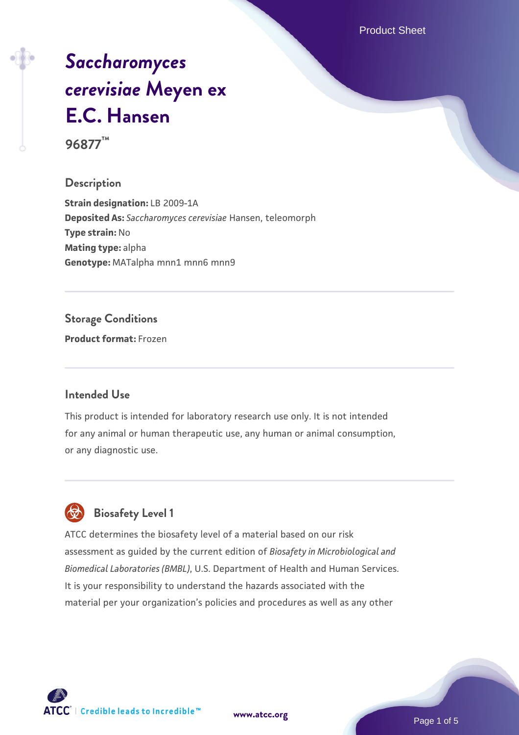Product Sheet

# *[Saccharomyces](https://www.atcc.org/products/96877) [cerevisiae](https://www.atcc.org/products/96877)* **[Meyen ex](https://www.atcc.org/products/96877) [E.C. Hansen](https://www.atcc.org/products/96877)**

**96877™**

#### **Description**

**Strain designation:** LB 2009-1A **Deposited As:** *Saccharomyces cerevisiae* Hansen, teleomorph **Type strain:** No **Mating type:** alpha Genotype: MATalpha mnn1 mnn6 mnn9

#### **Storage Conditions**

**Product format:** Frozen

#### **Intended Use**

This product is intended for laboratory research use only. It is not intended for any animal or human therapeutic use, any human or animal consumption, or any diagnostic use.



### **Biosafety Level 1**

ATCC determines the biosafety level of a material based on our risk assessment as guided by the current edition of *Biosafety in Microbiological and Biomedical Laboratories (BMBL)*, U.S. Department of Health and Human Services. It is your responsibility to understand the hazards associated with the material per your organization's policies and procedures as well as any other

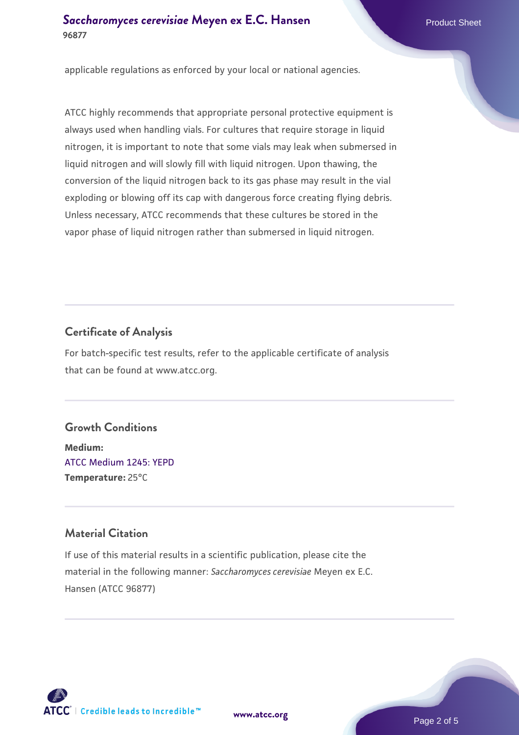#### **[Saccharomyces cerevisiae](https://www.atcc.org/products/96877)** [Meyen ex E.C. Hansen](https://www.atcc.org/products/96877) **96877**

applicable regulations as enforced by your local or national agencies.

ATCC highly recommends that appropriate personal protective equipment is always used when handling vials. For cultures that require storage in liquid nitrogen, it is important to note that some vials may leak when submersed in liquid nitrogen and will slowly fill with liquid nitrogen. Upon thawing, the conversion of the liquid nitrogen back to its gas phase may result in the vial exploding or blowing off its cap with dangerous force creating flying debris. Unless necessary, ATCC recommends that these cultures be stored in the vapor phase of liquid nitrogen rather than submersed in liquid nitrogen.

#### **Certificate of Analysis**

For batch-specific test results, refer to the applicable certificate of analysis that can be found at www.atcc.org.

#### **Growth Conditions**

**Medium:**  [ATCC Medium 1245: YEPD](https://www.atcc.org/-/media/product-assets/documents/microbial-media-formulations/1/2/4/5/atcc-medium-1245.pdf?rev=705ca55d1b6f490a808a965d5c072196) **Temperature:** 25°C

#### **Material Citation**

If use of this material results in a scientific publication, please cite the material in the following manner: *Saccharomyces cerevisiae* Meyen ex E.C. Hansen (ATCC 96877)



**[www.atcc.org](http://www.atcc.org)**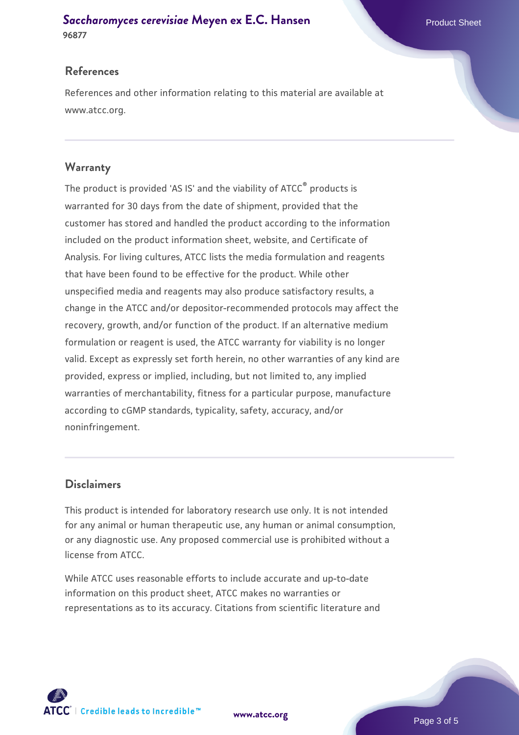#### **[Saccharomyces cerevisiae](https://www.atcc.org/products/96877)** [Meyen ex E.C. Hansen](https://www.atcc.org/products/96877) **96877**

#### **References**

References and other information relating to this material are available at www.atcc.org.

#### **Warranty**

The product is provided 'AS IS' and the viability of ATCC® products is warranted for 30 days from the date of shipment, provided that the customer has stored and handled the product according to the information included on the product information sheet, website, and Certificate of Analysis. For living cultures, ATCC lists the media formulation and reagents that have been found to be effective for the product. While other unspecified media and reagents may also produce satisfactory results, a change in the ATCC and/or depositor-recommended protocols may affect the recovery, growth, and/or function of the product. If an alternative medium formulation or reagent is used, the ATCC warranty for viability is no longer valid. Except as expressly set forth herein, no other warranties of any kind are provided, express or implied, including, but not limited to, any implied warranties of merchantability, fitness for a particular purpose, manufacture according to cGMP standards, typicality, safety, accuracy, and/or noninfringement.

#### **Disclaimers**

This product is intended for laboratory research use only. It is not intended for any animal or human therapeutic use, any human or animal consumption, or any diagnostic use. Any proposed commercial use is prohibited without a license from ATCC.

While ATCC uses reasonable efforts to include accurate and up-to-date information on this product sheet, ATCC makes no warranties or representations as to its accuracy. Citations from scientific literature and

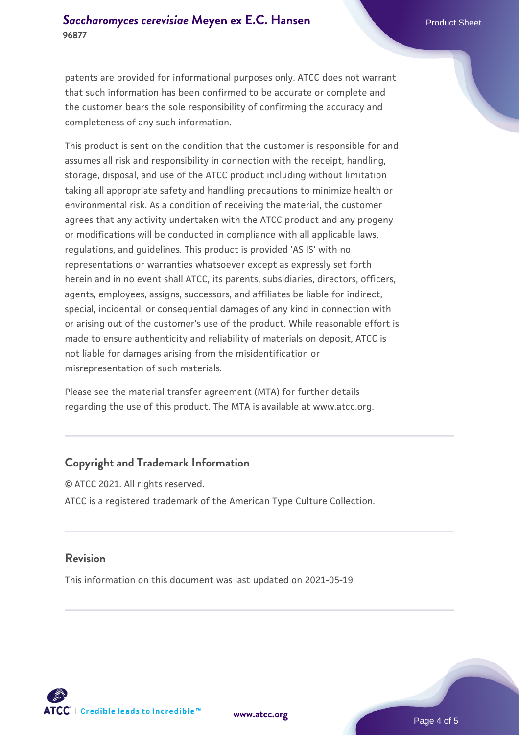patents are provided for informational purposes only. ATCC does not warrant that such information has been confirmed to be accurate or complete and the customer bears the sole responsibility of confirming the accuracy and completeness of any such information.

This product is sent on the condition that the customer is responsible for and assumes all risk and responsibility in connection with the receipt, handling, storage, disposal, and use of the ATCC product including without limitation taking all appropriate safety and handling precautions to minimize health or environmental risk. As a condition of receiving the material, the customer agrees that any activity undertaken with the ATCC product and any progeny or modifications will be conducted in compliance with all applicable laws, regulations, and guidelines. This product is provided 'AS IS' with no representations or warranties whatsoever except as expressly set forth herein and in no event shall ATCC, its parents, subsidiaries, directors, officers, agents, employees, assigns, successors, and affiliates be liable for indirect, special, incidental, or consequential damages of any kind in connection with or arising out of the customer's use of the product. While reasonable effort is made to ensure authenticity and reliability of materials on deposit, ATCC is not liable for damages arising from the misidentification or misrepresentation of such materials.

Please see the material transfer agreement (MTA) for further details regarding the use of this product. The MTA is available at www.atcc.org.

#### **Copyright and Trademark Information**

© ATCC 2021. All rights reserved. ATCC is a registered trademark of the American Type Culture Collection.

#### **Revision**

This information on this document was last updated on 2021-05-19



**[www.atcc.org](http://www.atcc.org)**

Page 4 of 5